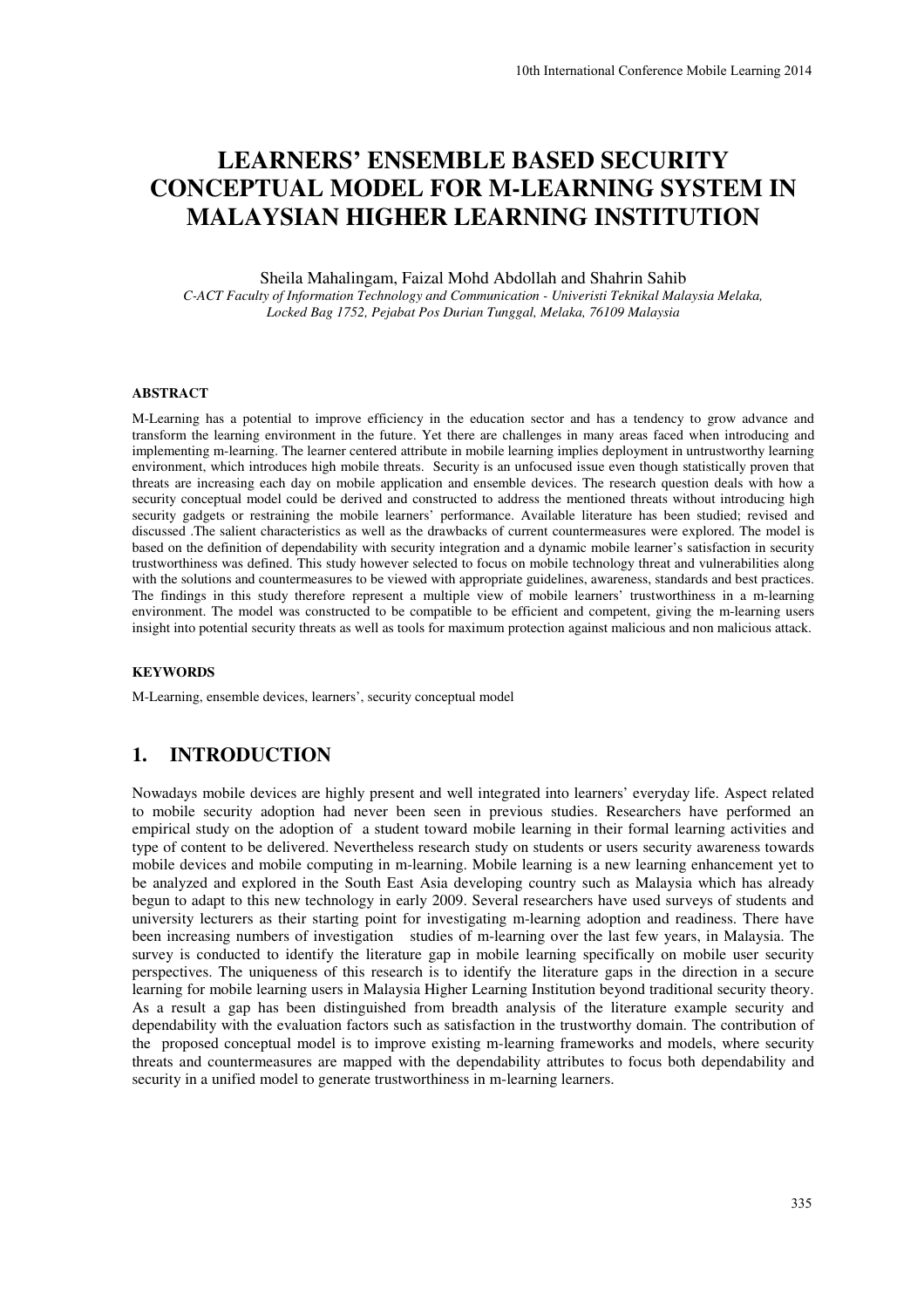# **LEARNERS' ENSEMBLE BASED SECURITY CONCEPTUAL MODEL FOR M-LEARNING SYSTEM IN MALAYSIAN HIGHER LEARNING INSTITUTION**

Sheila Mahalingam, Faizal Mohd Abdollah and Shahrin Sahib

*C-ACT Faculty of Information Technology and Communication - Univeristi Teknikal Malaysia Melaka, Locked Bag 1752, Pejabat Pos Durian Tunggal, Melaka, 76109 Malaysia* 

#### **ABSTRACT**

M-Learning has a potential to improve efficiency in the education sector and has a tendency to grow advance and transform the learning environment in the future. Yet there are challenges in many areas faced when introducing and implementing m-learning. The learner centered attribute in mobile learning implies deployment in untrustworthy learning environment, which introduces high mobile threats. Security is an unfocused issue even though statistically proven that threats are increasing each day on mobile application and ensemble devices. The research question deals with how a security conceptual model could be derived and constructed to address the mentioned threats without introducing high security gadgets or restraining the mobile learners' performance. Available literature has been studied; revised and discussed .The salient characteristics as well as the drawbacks of current countermeasures were explored. The model is based on the definition of dependability with security integration and a dynamic mobile learner's satisfaction in security trustworthiness was defined. This study however selected to focus on mobile technology threat and vulnerabilities along with the solutions and countermeasures to be viewed with appropriate guidelines, awareness, standards and best practices. The findings in this study therefore represent a multiple view of mobile learners' trustworthiness in a m-learning environment. The model was constructed to be compatible to be efficient and competent, giving the m-learning users insight into potential security threats as well as tools for maximum protection against malicious and non malicious attack.

#### **KEYWORDS**

M-Learning, ensemble devices, learners', security conceptual model

### **1. INTRODUCTION**

Nowadays mobile devices are highly present and well integrated into learners' everyday life. Aspect related to mobile security adoption had never been seen in previous studies. Researchers have performed an empirical study on the adoption of a student toward mobile learning in their formal learning activities and type of content to be delivered. Nevertheless research study on students or users security awareness towards mobile devices and mobile computing in m-learning. Mobile learning is a new learning enhancement yet to be analyzed and explored in the South East Asia developing country such as Malaysia which has already begun to adapt to this new technology in early 2009. Several researchers have used surveys of students and university lecturers as their starting point for investigating m-learning adoption and readiness. There have been increasing numbers of investigation studies of m-learning over the last few years, in Malaysia. The survey is conducted to identify the literature gap in mobile learning specifically on mobile user security perspectives. The uniqueness of this research is to identify the literature gaps in the direction in a secure learning for mobile learning users in Malaysia Higher Learning Institution beyond traditional security theory. As a result a gap has been distinguished from breadth analysis of the literature example security and dependability with the evaluation factors such as satisfaction in the trustworthy domain. The contribution of the proposed conceptual model is to improve existing m-learning frameworks and models, where security threats and countermeasures are mapped with the dependability attributes to focus both dependability and security in a unified model to generate trustworthiness in m-learning learners.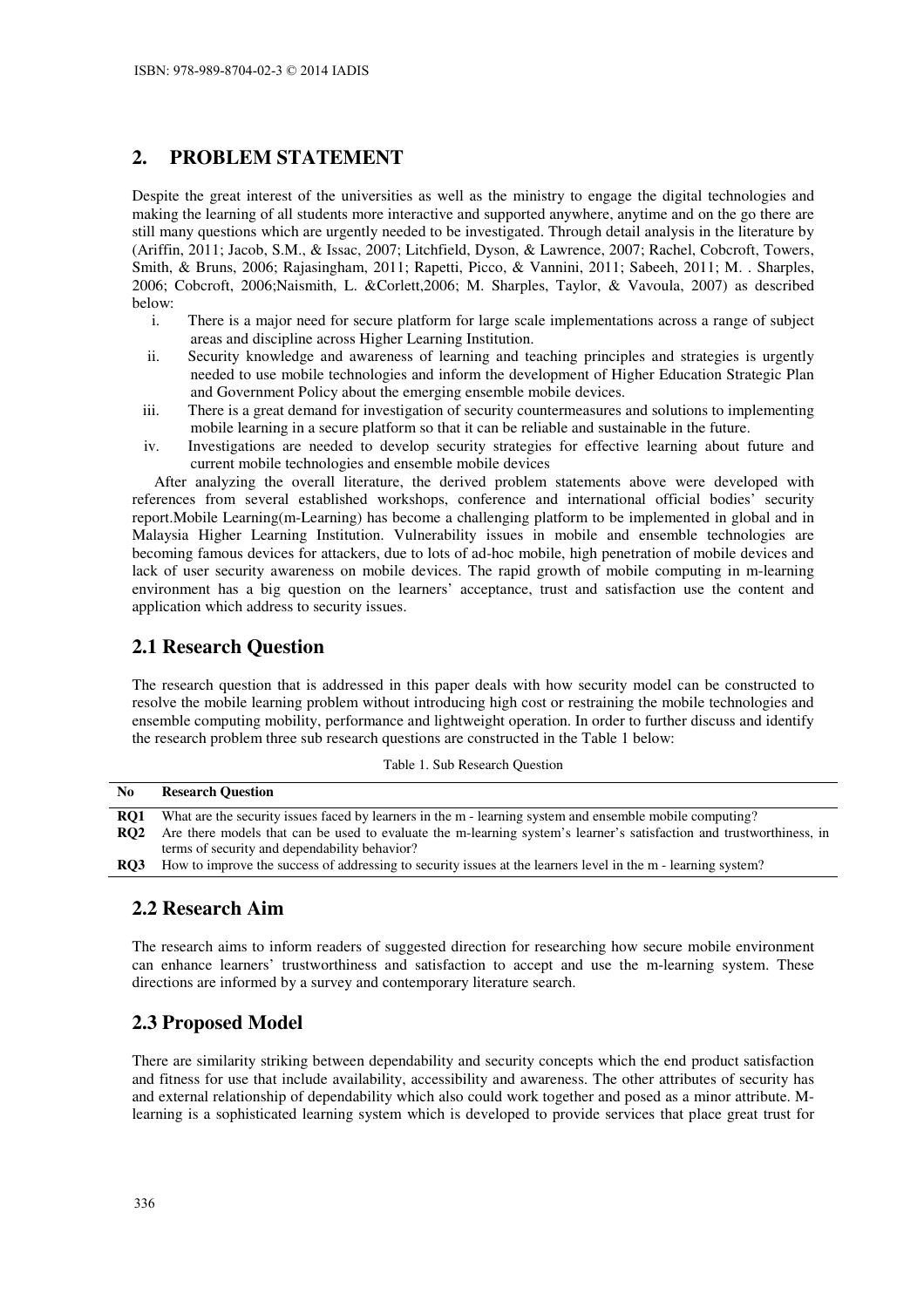# **2. PROBLEM STATEMENT**

Despite the great interest of the universities as well as the ministry to engage the digital technologies and making the learning of all students more interactive and supported anywhere, anytime and on the go there are still many questions which are urgently needed to be investigated. Through detail analysis in the literature by (Ariffin, 2011; Jacob, S.M., & Issac, 2007; Litchfield, Dyson, & Lawrence, 2007; Rachel, Cobcroft, Towers, Smith, & Bruns, 2006; Rajasingham, 2011; Rapetti, Picco, & Vannini, 2011; Sabeeh, 2011; M. . Sharples, 2006; Cobcroft, 2006;Naismith, L. &Corlett,2006; M. Sharples, Taylor, & Vavoula, 2007) as described below:

- i. There is a major need for secure platform for large scale implementations across a range of subject areas and discipline across Higher Learning Institution.
- ii. Security knowledge and awareness of learning and teaching principles and strategies is urgently needed to use mobile technologies and inform the development of Higher Education Strategic Plan and Government Policy about the emerging ensemble mobile devices.
- iii. There is a great demand for investigation of security countermeasures and solutions to implementing mobile learning in a secure platform so that it can be reliable and sustainable in the future.
- iv. Investigations are needed to develop security strategies for effective learning about future and current mobile technologies and ensemble mobile devices

After analyzing the overall literature, the derived problem statements above were developed with references from several established workshops, conference and international official bodies' security report.Mobile Learning(m-Learning) has become a challenging platform to be implemented in global and in Malaysia Higher Learning Institution. Vulnerability issues in mobile and ensemble technologies are becoming famous devices for attackers, due to lots of ad-hoc mobile, high penetration of mobile devices and lack of user security awareness on mobile devices. The rapid growth of mobile computing in m-learning environment has a big question on the learners' acceptance, trust and satisfaction use the content and application which address to security issues.

# **2.1 Research Question**

The research question that is addressed in this paper deals with how security model can be constructed to resolve the mobile learning problem without introducing high cost or restraining the mobile technologies and ensemble computing mobility, performance and lightweight operation. In order to further discuss and identify the research problem three sub research questions are constructed in the Table 1 below:

|  |  | Table 1. Sub Research Question |  |
|--|--|--------------------------------|--|
|--|--|--------------------------------|--|

| N <sub>0</sub>  | <b>Research Ouestion</b>                                                                                             |
|-----------------|----------------------------------------------------------------------------------------------------------------------|
| RO1             | What are the security issues faced by learners in the m - learning system and ensemble mobile computing?             |
| RO <sub>2</sub> | Are there models that can be used to evaluate the m-learning system's learner's satisfaction and trustworthiness, in |
|                 | terms of security and dependability behavior?                                                                        |
| RO3             | How to improve the success of addressing to security issues at the learners level in the m - learning system?        |

### **2.2 Research Aim**

The research aims to inform readers of suggested direction for researching how secure mobile environment can enhance learners' trustworthiness and satisfaction to accept and use the m-learning system. These directions are informed by a survey and contemporary literature search.

# **2.3 Proposed Model**

There are similarity striking between dependability and security concepts which the end product satisfaction and fitness for use that include availability, accessibility and awareness. The other attributes of security has and external relationship of dependability which also could work together and posed as a minor attribute. Mlearning is a sophisticated learning system which is developed to provide services that place great trust for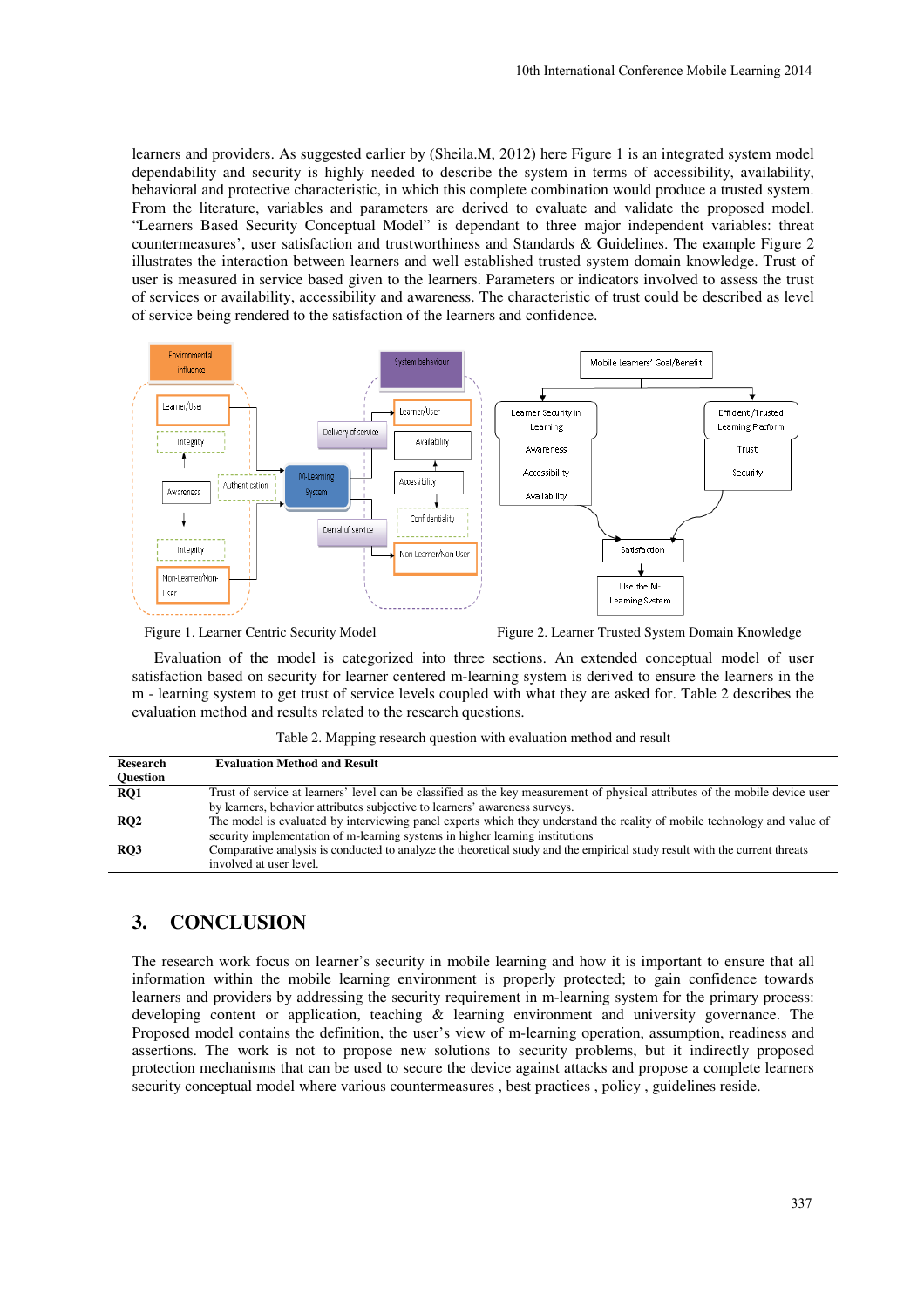learners and providers. As suggested earlier by (Sheila.M, 2012) here Figure 1 is an integrated system model dependability and security is highly needed to describe the system in terms of accessibility, availability, behavioral and protective characteristic, in which this complete combination would produce a trusted system. From the literature, variables and parameters are derived to evaluate and validate the proposed model. "Learners Based Security Conceptual Model" is dependant to three major independent variables: threat countermeasures', user satisfaction and trustworthiness and Standards & Guidelines. The example Figure 2 illustrates the interaction between learners and well established trusted system domain knowledge. Trust of user is measured in service based given to the learners. Parameters or indicators involved to assess the trust of services or availability, accessibility and awareness. The characteristic of trust could be described as level of service being rendered to the satisfaction of the learners and confidence.



Figure 1. Learner Centric Security Model Figure 2. Learner Trusted System Domain Knowledge

Evaluation of the model is categorized into three sections. An extended conceptual model of user satisfaction based on security for learner centered m-learning system is derived to ensure the learners in the m - learning system to get trust of service levels coupled with what they are asked for. Table 2 describes the evaluation method and results related to the research questions.

|  | Table 2. Mapping research question with evaluation method and result |
|--|----------------------------------------------------------------------|
|--|----------------------------------------------------------------------|

| Research        | <b>Evaluation Method and Result</b>                                                                                           |
|-----------------|-------------------------------------------------------------------------------------------------------------------------------|
| <b>Ouestion</b> |                                                                                                                               |
| RO1             | Trust of service at learners' level can be classified as the key measurement of physical attributes of the mobile device user |
|                 | by learners, behavior attributes subjective to learners' awareness surveys.                                                   |
| RO2             | The model is evaluated by interviewing panel experts which they understand the reality of mobile technology and value of      |
|                 | security implementation of m-learning systems in higher learning institutions                                                 |
| RO3             | Comparative analysis is conducted to analyze the theoretical study and the empirical study result with the current threats    |
|                 | involved at user level.                                                                                                       |

# **3. CONCLUSION**

The research work focus on learner's security in mobile learning and how it is important to ensure that all information within the mobile learning environment is properly protected; to gain confidence towards learners and providers by addressing the security requirement in m-learning system for the primary process: developing content or application, teaching & learning environment and university governance. The Proposed model contains the definition, the user's view of m-learning operation, assumption, readiness and assertions. The work is not to propose new solutions to security problems, but it indirectly proposed protection mechanisms that can be used to secure the device against attacks and propose a complete learners security conceptual model where various countermeasures , best practices , policy , guidelines reside.